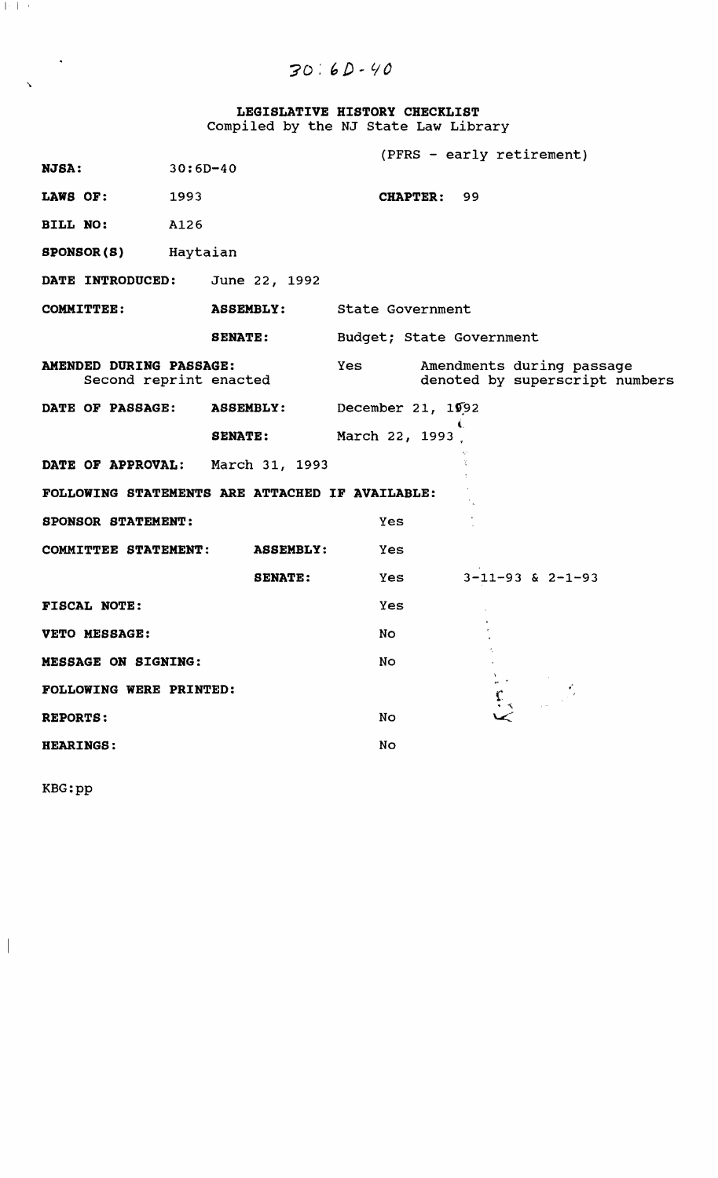$30:6D-40$ 

**LEGISLATIVE HISTORY CHECKLIST**  Compiled by the NJ state Law Library

|                                                   |            |                            | (PFRS - early retirement) |    |                                                 |                                                             |
|---------------------------------------------------|------------|----------------------------|---------------------------|----|-------------------------------------------------|-------------------------------------------------------------|
| <b>NJSA:</b>                                      | $30:6D-40$ |                            |                           |    |                                                 |                                                             |
| LAWS OF:                                          | 1993       |                            | CHAPTER: 99               |    |                                                 |                                                             |
| <b>BILL NO:</b>                                   | A126       |                            |                           |    |                                                 |                                                             |
| <b>SPONSOR(S)</b> Haytaian                        |            |                            |                           |    |                                                 |                                                             |
| DATE INTRODUCED:                                  |            | June 22, 1992              |                           |    |                                                 |                                                             |
| <b>COMMITTEE:</b>                                 |            | ASSEMBLY: State Government |                           |    |                                                 |                                                             |
|                                                   |            | <b>SENATE:</b>             | Budget; State Government  |    |                                                 |                                                             |
| AMENDED DURING PASSAGE:<br>Second reprint enacted |            |                            | Yes                       |    |                                                 | Amendments during passage<br>denoted by superscript numbers |
| DATE OF PASSAGE:                                  |            | <b>ASSEMBLY:</b>           | December 21, 1992         |    |                                                 |                                                             |
|                                                   |            | <b>SENATE:</b>             | March 22, 1993            | ŧ. |                                                 |                                                             |
| DATE OF APPROVAL: March 31, 1993                  |            |                            |                           |    |                                                 |                                                             |
| FOLLOWING STATEMENTS ARE ATTACHED IF AVAILABLE:   |            |                            |                           |    |                                                 |                                                             |
| SPONSOR STATEMENT:                                |            |                            | <b>Yes</b>                |    |                                                 |                                                             |
| COMMITTEE STATEMENT:                              |            | <b>ASSEMBLY:</b>           | Yes                       |    |                                                 |                                                             |
|                                                   |            | <b>SENATE:</b>             | Yes                       |    |                                                 | $3 - 11 - 93$ & $2 - 1 - 93$                                |
| FISCAL NOTE:                                      |            |                            | Yes                       |    |                                                 |                                                             |
| VETO MESSAGE:                                     |            |                            | No.                       |    |                                                 |                                                             |
| <b>MESSAGE ON SIGNING:</b>                        |            |                            | No                        |    |                                                 |                                                             |
| <b>FOLLOWING WERE PRINTED:</b>                    |            |                            |                           |    |                                                 |                                                             |
| <b>REPORTS:</b>                                   |            |                            | No                        |    | $\begin{array}{c} \xi_{\chi}\\ \xi \end{array}$ |                                                             |
| <b>HEARINGS:</b>                                  |            |                            | No                        |    |                                                 |                                                             |
|                                                   |            |                            |                           |    |                                                 |                                                             |

KBG:pp

 $\overline{\phantom{a}}$ 

 $\| \cdot \|$ 

 $\mathbf{v}$ 

 $\sim 10^{-11}$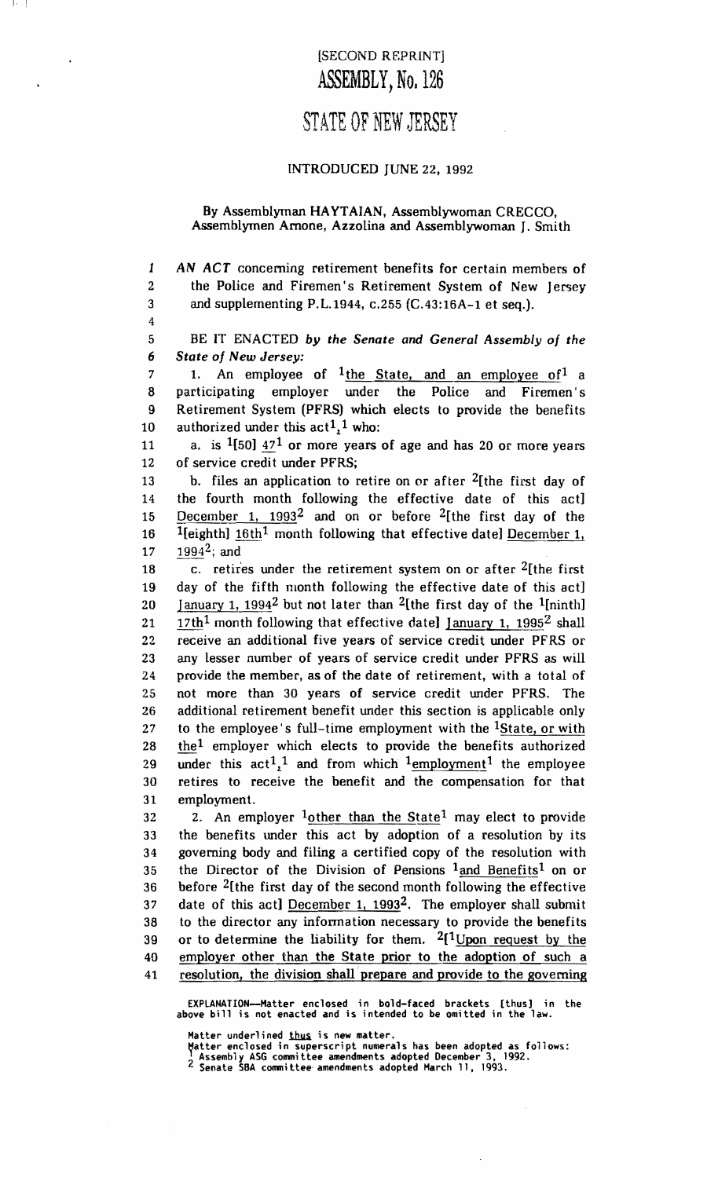### [SECOND REPRINTj ASSEMBLY, No. 126

 $| \cdot |$ 

4

# STATE OF NEW JERSEY

#### INTRODUCED JUNE 22, 1992

#### By Assemblyman HAYTAIAN, Assemblywoman CRECCO, Assemblymen Arnone, Azzolina and Assemblywoman J. Smith

1 AN ACT concerning retirement benefits for certain members of 2 the Police and Firemen's Retirement System of New Jersey 3 and supplementing P.L.1944, c.255 (C.43:l6A-l et seq.).

5 BE IT ENACTED *by the Senate and General Assembly of the 6 State of New Jersey:* 

7 1. An employee of  $1$ the State, and an employee of<sup>1</sup> a 8 participating employer under the Police and Firemen's 9 Retirement System (PFRS) which elects to provide the benefits 10 authorized under this  $act1<sub>1</sub>$ <sup>1</sup> who:

11 a. is  $1[50]$   $17^1$  or more years of age and has 20 or more years 12 of service credit under PFRS;

13 b. files an application to retire on or after  $2$ [the first day of 14 the fourth month following the effective date of this act] 15 December 1,  $1993^2$  and on or before <sup>2</sup>[the first day of the 16 <sup>1</sup>[eighth]  $16th<sup>1</sup>$  month following that effective date] December 1, 17  $1994^2$ ; and

18 c. retires under the retirement system on or after  $2$ [the first 19 day of the fifth month following the effective date of this act] 20 January 1, 1994<sup>2</sup> but not later than <sup>2</sup>[the first day of the <sup>1</sup>[ninth] 21 17th<sup>1</sup> month following that effective date] January 1, 1995<sup>2</sup> shall 22 receive an additional five years of service credit under PFRS or 23 any lesser number of years of service credit under PFRS as will 24 provide the member, as of the date of retirement, with a total of 25 not more than 30 years of service credit under PFRS. The 26 additional retirement benefit under this section is applicable only 27 to the employee's full-time employment with the <sup>1</sup>State, or with 28 the1 employer which elects to provide the benefits authorized 29 under this  $act1<sub>1</sub><sup>1</sup>$  and from which  $1$  employment<sup>1</sup> the employee 30 retires to receive the benefit and the compensation for that 31 employment.

32 2. An employer  $\frac{1}{2}$  other than the State<sup>1</sup> may elect to provide 33 the benefits under this act by adoption of a resolution by its 34 governing body and filing a certified copy of the resolution with 35 the Director of the Division of Pensions  $1$  and Benefits<sup>1</sup> on or 36 before 2[the first day of the second month following the effective 37 date of this act] December 1,  $1993^2$ . The employer shall submit 38 to the director any information necessary to provide the benefits 39 or to determine the liability for them.  $2[1]$  Upon request by the 40 employer other than the State prior to the adoption of such a 41 resolution, the division shall· prepare and provide to the governing

EXPlANATION--Hatter enclosed in bold-faced brackets [thus] in the above bill is not enacted and is intended to be omitted in the law.

Matter underlined <u>thus</u> is new matter.

Matter enclosed in superscript numerals has been adopted as follows:<br><sup>1</sup> Assembly ASG committee amendments adopted December 3, 1992.<br><sup>2</sup> Senate SBA committee amendments adopted March 11, 1993.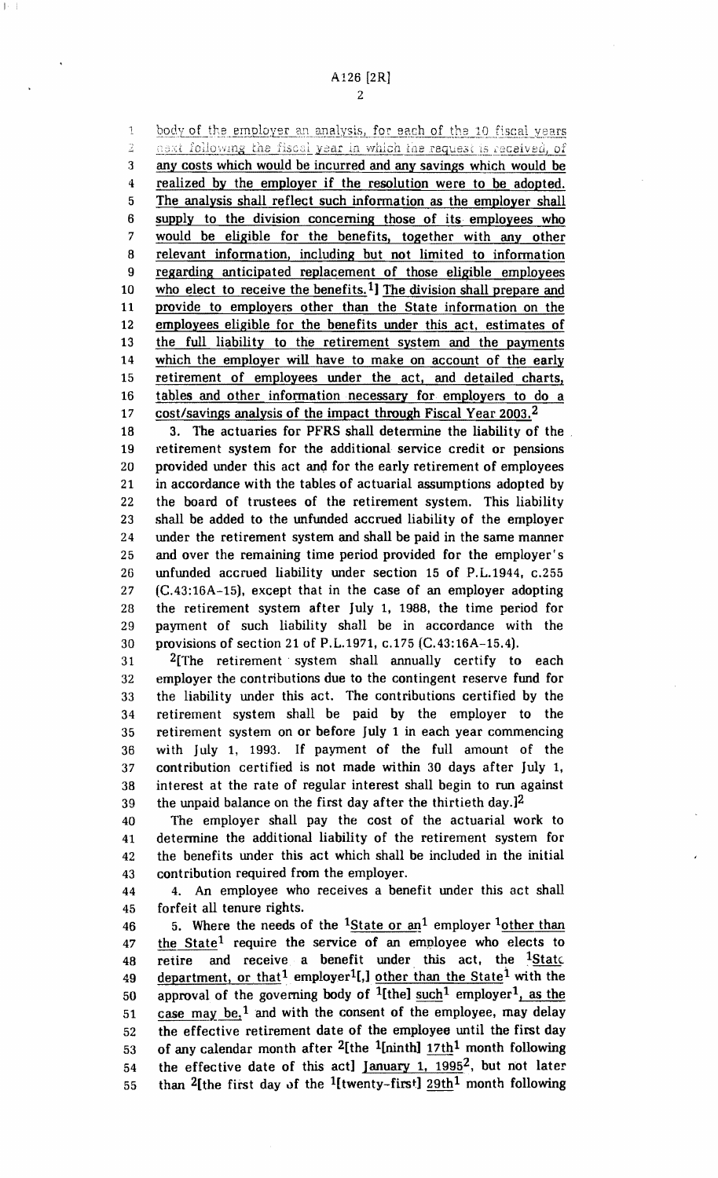$\mathfrak{t}$ body of the employer an analysis, for each of the 10 fiscal years askt following the fiscal year in which the request is received, of  $\widehat{\mathbb{Z}}$ 3 any costs which would be incurred and any savings which would be 4 realized by the employer if the resolution were to be adopted. The analysis shall reflect such information as the employer shall 5 6 supply to the division concerning those of its employees who 7 would be eligible for the benefits, together with any other 8 relevant information, including but not limited to information 9 regarding anticipated replacement of those eligible employees who elect to receive the benefits.<sup>1</sup>] The division shall prepare and 10 11 provide to employers other than the State information on the 12 employees eligible for the benefits under this act, estimates of 13 the full liability to the retirement system and the payments 14 which the employer will have to make on account of the early retirement of employees under the act, and detailed charts, 15 16 tables and other information necessary for employers to do a 17 cost/savings analysis of the impact through Fiscal Year 2003.2

20 25 30 18 3. The actuaries for PFRS shall determine the liability of the 19 retirement system for the additional service credit or pensions provided under this act and for the early retirement of employees 21 in accordance with the tables of actuarial assumptions adopted by 22 the board of trustees of the retirement system. This liability 23 shall be added to the unfunded accrued liability of the employer 24 under the retirement system and shall be paid in the same manner and over the remaining time period provided for the employer's 26 unfunded accrued liability under section 15 of P.L.1944, c.255 27 (C.43:16A-15), except that in the case of an employer adopting 28 the retirement system after July 1, 1988, the time period for 29 payment of such liability shall be in accordance with the provisions of section 21 of P.L.1971, c.175 (C.43:16A-15.4).

35 31 2[The retirement' system shall annually certify to each 32 employer the contributions due to the contingent reserve fund for 33 the liability under this act. The contributions certified by the 34 retirement system shall be paid by the employer to the retirement system on or before July 1 in each year commencing 36 with July 1, 1993. If payment of the full amount of the 37 contribution certified is not made within 30 days after July 1, 38 interest at the rate of regular interest shall begin to run against 39 the unpaid balance on the first day after the thirtieth day. $]$ <sup>2</sup>

40 The employer shall pay the cost of the actuarial work to 41 determine the additional liability of the retirement system for 42 the benefits under this act which shall be included in the initial 43 contribution required from the employer.

45 44 4. An employee who receives a benefit under this act shall forfeit all tenure rights.

50 55 46 5. Where the needs of the <sup>1</sup>State or  $\frac{1}{2}$  employer <sup>1</sup>other than 47 the State<sup>1</sup> require the service of an employee who elects to 48 retire and receive a benefit under this act, the  $\frac{1 \text{State}}{1 \text{State}}$ . 49 department, or that<sup>1</sup> employer<sup>1</sup>[,] other than the State<sup>1</sup> with the approval of the governing body of <sup>1</sup>[the] such<sup>1</sup> employer<sup>1</sup>, as the 51 case may be,<sup>1</sup> and with the consent of the employee, may delay 52 the effective retirement date of the employee until the first day 53 of any calendar month after <sup>2</sup>[the <sup>1</sup>[ninth]  $17th<sup>1</sup>$  month following 54 the effective date of this act] January 1,  $1995^2$ , but not later than <sup>2</sup>[the first day of the <sup>1</sup>[twenty-first]  $29th<sup>1</sup>$  month following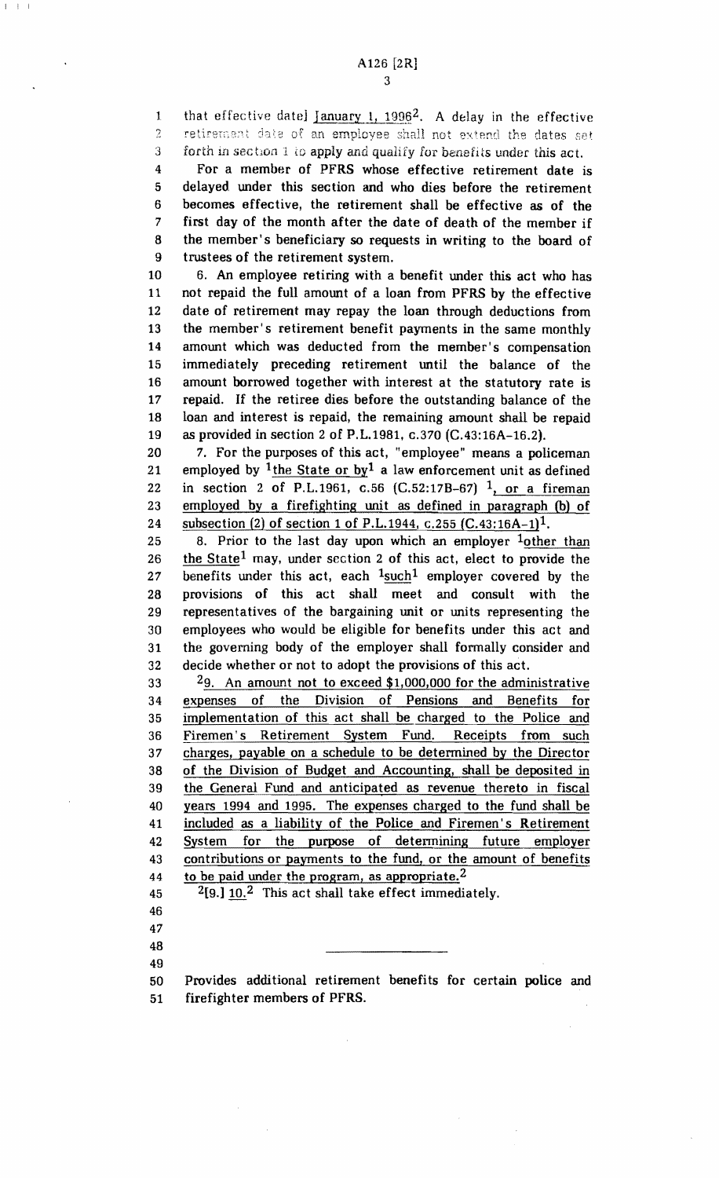$I = I - I$ 

1 that effective date]  $January 1, 1996^2$ . A delay in the effective ? retirement date of an employee shall not extend the dates set 3 forth in section 1 to apply and qualify for benefits under this act.

4 For a member of PFRS whose effective retirement date is 5 delayed. under this section and who dies before the retirement 6 becomes effective, the retirement shall be effective as of the 7 first day of the month after the date of death of the member if 8 the member's beneficiary so requests in writing to the board of 9 trustees of the retirement system.

10 6. An employee retiring with a benefit under this act who has 11 not repaid the full amount of a loan from PFRS by the effective 12 date of retirement may repay the loan through deductions from 13 the member's retirement benefit payments in the same monthly 14 amount which was deducted from the member's compensation 15 immediately preceding retirement until the balance of the 16 amount borrowed together with interest at the statutory rate is 17 repaid. If the retiree dies before the outstanding balance of the 18 loan and interest is repaid, the remaining amount shall be repaid 19 as provided in section 2 of P.L.1981, c.370 (C.43:16A-16.2).

20 7. For the purposes of this act, "employee" means a policeman 21 employed by  $1$ the State or by<sup>1</sup> a law enforcement unit as defined 22 in section 2 of P.L.1961, c.56  $(C.52:17B-67)$   $^{1}$ , or a fireman 23 employed by a fire fighting unit as defined in paragraph (b) of 24 subsection (2) of section 1 of P.L.1944, c.255  $(C.43:16A-1)^1$ .

25 8. Prior to the last day upon which an employer  $\frac{1}{2}$  other than 26 the State<sup>1</sup> may, under section 2 of this act, elect to provide the 27 benefits under this act, each  $1$  such<sup>1</sup> employer covered by the 28 provisions of this act shall meet and consult with the 29 representatives of the bargaining unit or units representing the 30 employees who would be eligible for benefits under this act and 31 the governing body of the employer shall formally consider and 32 decide whether or not to adopt the provisions of this act.

33 29. An amount not to exceed \$1,000,000 for the administrative 34 expenses of the Division of Pensions and Benefits for 35 implementation of this act shall be. charged to the Police and 36 Firemen's Retirement System Fund. Receipts from such 37 charges, payable on a schedule to be determined by the Director 38 of the Division of Budget and Accounting, shall be deposited in 39 the General Fund and anticipated as revenue thereto in fiscal 40 years 1994 and 1995. The expenses charged to the fund shall be 41 included as a liability of the Police and Firemen's Retirement 42 System for the purpose of determining future employer 43 contributions or payments to the fund, or the amount of benefits 44 to be paid under the program, as appropriate.<sup>2</sup>

45  $2[9.]\,10.^2$  This act shall take effect immediately.

50 Provides additional retirement benefits for certain police and 51 firefighter members of PFRS.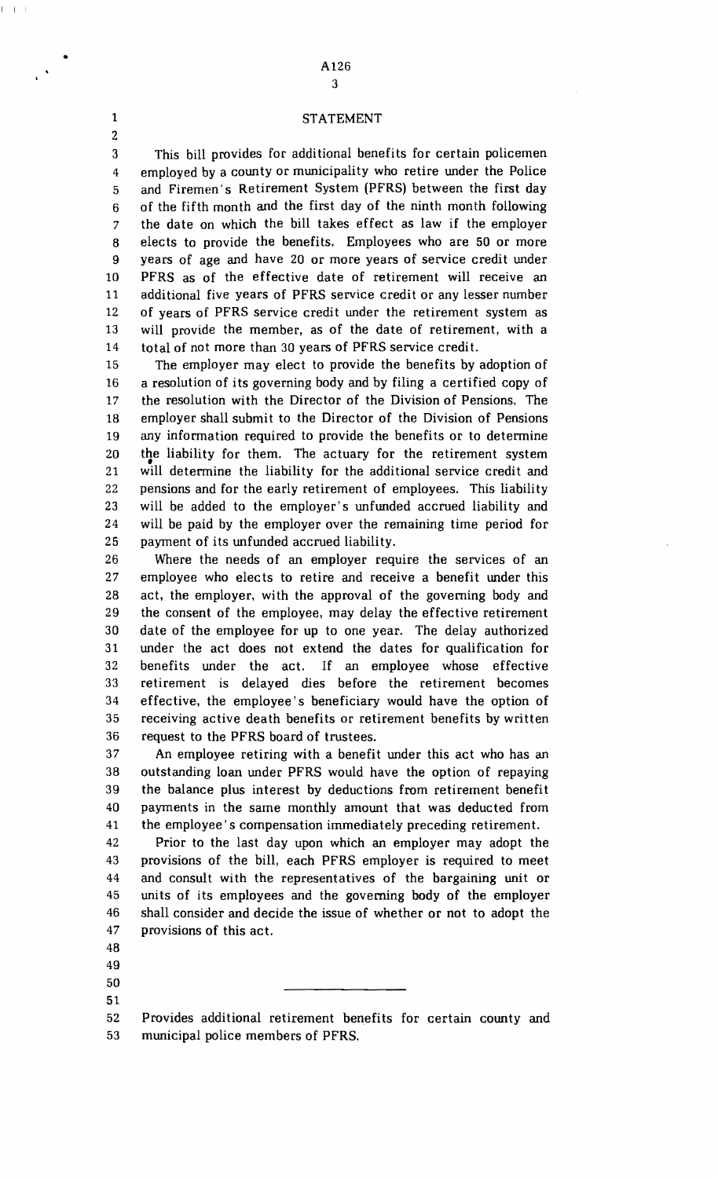### •  $A126$ 3

#### 1 STATEMENT

3 This bill provides for additional benefits for certain policemen 4 employed by a county or municipality who retire under the Police 5 and Firemen' s Retirement System (PFRS) between the first day 6 of the fifth month and the first day of the ninth month following 7 the date on which the bill takes effect as law if the employer 8 elects to provide the benefits. Employees who are 50 or more 9 years of age and have 20 or more years of service credit under 10 PFRS as of the effective date of retirement will receive an 11 additional five years of PFRS service credit or any lesser number 12 of years of PFRS service credit under the retirement system as 13 will provide the member, as of the date of retirement, with a 14 total of not more than 30 years of PFRS service credit.

15 The employer may elect to provide the benefits by adoption of 16 a resolution of its governing body and by filing a certified copy of 17 the resolution with the Director of the Division of Pensions. The 18 employer shall submit to the Director of the Division of Pensions 19 any information required to provide the benefits or to determine 20 21 the liability for them. The actuary for the retirement system will determine the liability for the additional service credit and 22 pensions and for the early retirement of employees. This liability 23 will be added to the employer's unfunded accrued liability and 24 will be paid by the employer over the remaining time period for 25 payment of its unfunded accrued liability.

26 Where the needs of an employer require the services of an 27 employee who elects to retire and receive a benefit under this 28 act, the employer, with the approval of the governing body and 29 the consent of the employee, may delay the effective retirement 30 date of the employee for up to one year. The delay authorized 31 under the act does not extend the dates for qualification for 32 benefits under the act. If an employee whose effective 33 retirement is delayed dies before the retirement becomes 34 effective, the employee's beneficiary would have the option of 35 receiving active death benefits or retirement benefits by written 36 request to the PFRS board of trustees.

37 An employee retiring with a benefit under this act who has an 38 outstanding loan under PFRS would have the option of repaying 39 the balance plus interest by deductions from retirement benefit 40 payments in the same monthly amount that was deducted from 41 the employee's compensation immediately preceding retirement.

42 Prior to the last day upon which an employer may adopt the 43 provisions of the bill, each PFRS employer is required to meet 44 and consult with the representatives of the bargaining unit or 45 units of its employees and the governing body of the employer 46 shall consider and decide the issue of whether or not to adopt the 47 provisions of this act.

50 51 52 Provides additional retirement benefits for certain county and 53 municipal police members of PFRS.

2

48 49

 $I = I$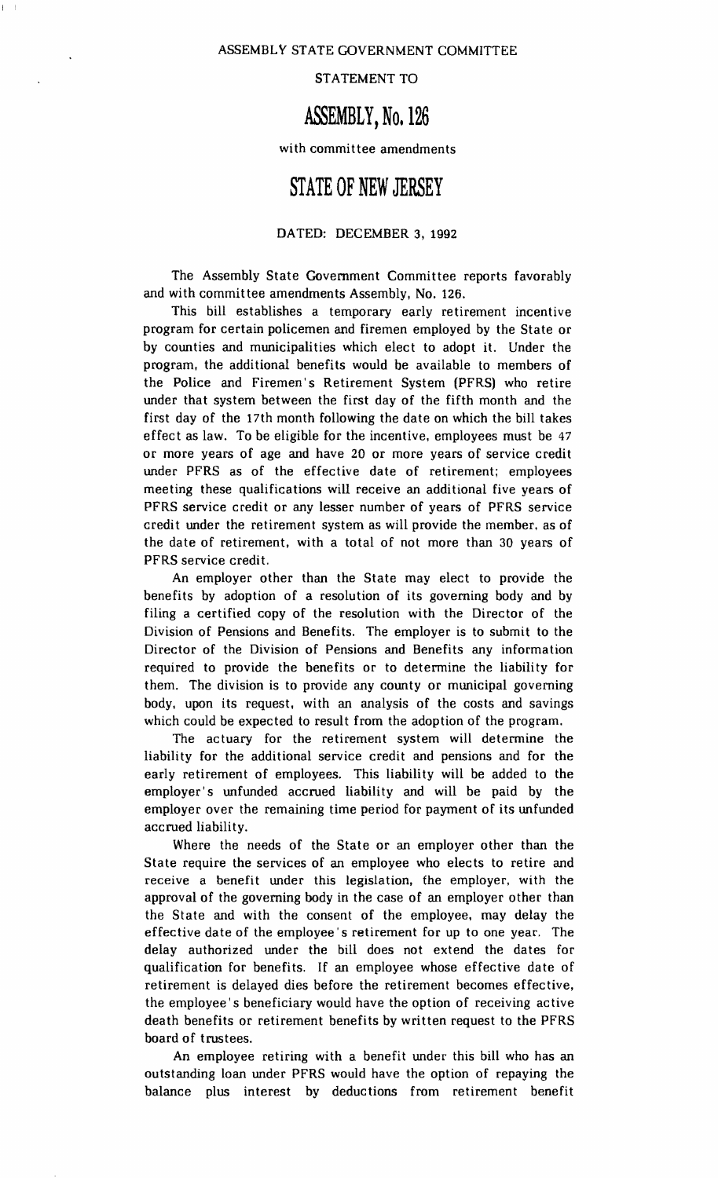STATEMENT TO

### **ASSEMBLY, No. 126**

with committee amendments

### **STATE OF NEW JERSEY**

#### DATED: DECEMBER 3, 1992

The Assembly State Government Committee reports favorably and with committee amendments Assembly, No. 126.

This bill establishes a temporary early retirement incentive program for certain policemen and firemen employed by the State or by counties and municipalities which elect to adopt it. Under the program. the additional benefits would be available to members of the Police and Firemen's Retirement System (PFRS) who retire under that system between the first day of the fifth month and the first day of the 17th month following the date on which the bill takes effect as law. To be eligible for the incentive, employees must be 47 or more years of age and have 20 or more years of service credit under PFRS as of the effective date of retirement; employees meeting these qualifications will receive an additional five years of PFRS service credit or any lesser number of years of PFRS service credit under the retirement system as will provide the member, as of the date of retirement. with a total of not more than 30 years of PFRS service credit.

An employer other than the State may elect to provide the benefits by adoption of a resolution of its governing body and by filing a certified copy of the resolution with the Director of the Division of Pensions and Benefits. The employer is to submit to the Director of the Division of Pensions and Benefits any information required to provide the benefits or to determine the liability for them. The division is to provide any county or municipal governing body, upon its request, with an analysis of the costs and savings which could be expected to result from the adoption of the program.

The actuary for the retirement system will determine the liability for the additional service credit and pensions and for the early retirement of employees. This liability will be added to the employer's unfunded accrued liability and will be paid by the employer over the remaining time period for payment of its unfunded accrued liability.

Where the needs of the State or an employer other than the State require the services of an employee who elects to retire and receive a benefit under this legislation, the employer, with the approval of the governing body in the case of an employer other than the State and with the consent of the employee, may delay the effective date of the employee' s retirement for up to one year. The delay authorized under the bill does not extend the dates for qualification for benefits. If an employee whose effective date of retirement is delayed dies before the retirement becomes effective. the employee's beneficiary would have the option of receiving active death benefits or retirement benefits by written request to the PFRS board of trustees.

An employee retiring with a benefit under this bill who has an outstanding loan under PFRS would have the option of repaying the balance plus interest by deductions from retirement benefit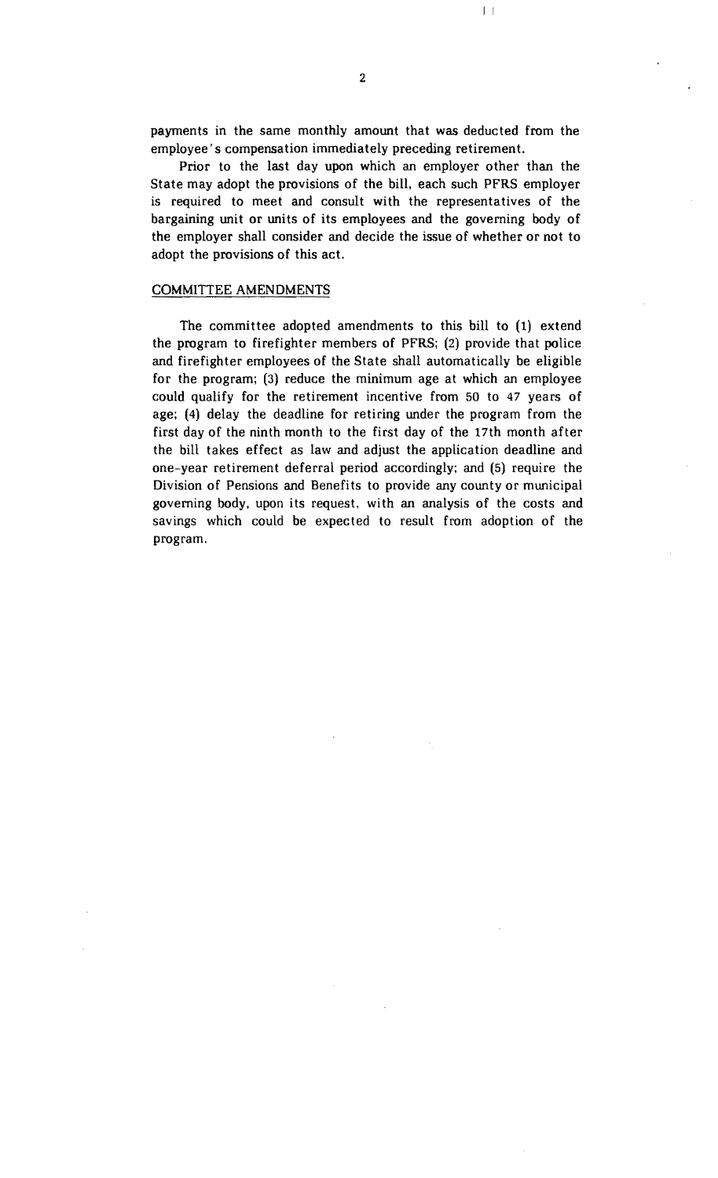payments in the same monthly amount that was deducted from the employee's compensation immediately preceding retirement.

Prior to the last day upon which an employer other than the State may adopt the provisions of the hill. each such PFRS employer is required to meet and consult with the representatives of the bargaining unit or units of its employees and the governing body of the employer shall consider and decide the issue of whether or not to adopt the provisions of this act.

#### COMMITTEE AMENDMENTS

The committee adopted amendments to this bill to (1) extend the program to firefighter members of PFRS; (2) provide that police and firefighter employees of the State shall automatically be eligible for the program; (3) reduce the minimum age at which an employee could qualify for the retirement incentive from 50 to 47 years of age; (4) delay the deadline for retiring under the program from the first day of the ninth month to the first day of the 17th month after the bill takes effect as law and adjust the application deadline and one-year retirement deferral period accordingly; and (5) require the Division of Pensions and Benefits to provide any county or municipal governing body, upon its request, with an analysis of the costs and savings which could be expected to result from adoption of the program.

 $\vert \ \ \vert$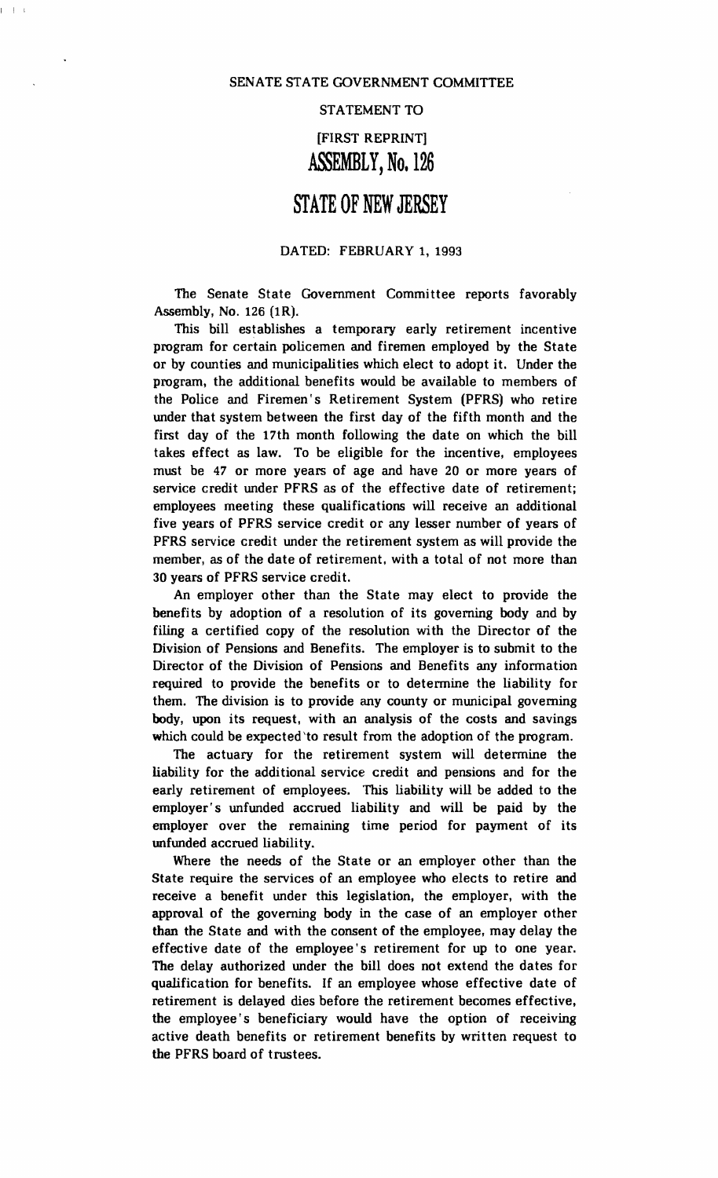$I = \overline{I} = I$ 

#### STATEMENT TO

### [FIRST REPRINT] ASSEMBLY, No. 126

### **STATE OF NEW JERSEY**

#### DATED: FEBRUARY 1, 1993

The Senate State Government Committee reports favorably Assembly, No. 126 (1R).

This bill establishes a temporary early retirement incentive program for certain policemen and firemen employed by the State or by counties and municipalities which elect to adopt it. Under the program, the additional benefits would be available to members of the Police and Firemen's Retirement System (PFRS) who retire under that system between the first day of the fifth month and the first day of the 17th month following the date on which the bill takes effect as law. To be eligible for the incentive, employees must be 47 or more years of age and have 20 or more years of service credit under PFRS as of the effective date of retirement; employees meeting these qualifications will receive an additional five years of PFRS service credit or any lesser number of years of PFRS service credit under the retirement system as will provide the member, as of the date of retirement, with a total of not more than 30 years of PFRS service credit.

An employer other than the State may elect to provide the benefits by adoption of a resolution of its governing body and by filing a certified copy of the resolution with the Director of the Division of Pensions and Benefits. The employer is to submit to the Director of the Division of Pensions and Benefits any information required to provide the benefits or to determine the liability for them. The division is to provide any county or municipal governing body, upon its request, with an analysis of the costs and savings which could be expected'to result from the adoption of the program.

The actuary for the retirement system will determine the liability for the additional service credit and pensions and for the early retirement of employees. This liability will be added to the employer's unfunded accrued liability and will be paid by the employer over the remaining time period for payment of its unfunded accrued liability.

Where the needs of the State or an employer other than the State require the services of an employee who elects to retire and receive a benefit under this legislation, the employer, with the approval of the governing body in the case of an employer other than the State and with the consent of the employee, may delay the effective date of the employee's retirement for up to one year. The delay authorized under the bill does not extend the dates for qualification for benefits. If an employee whose effective date of retirement is delayed dies before the retirement becomes effective, the employee's beneficiary would have the option of receiving active death benefits or retirement benefits by written request to the PFRS board of trustees.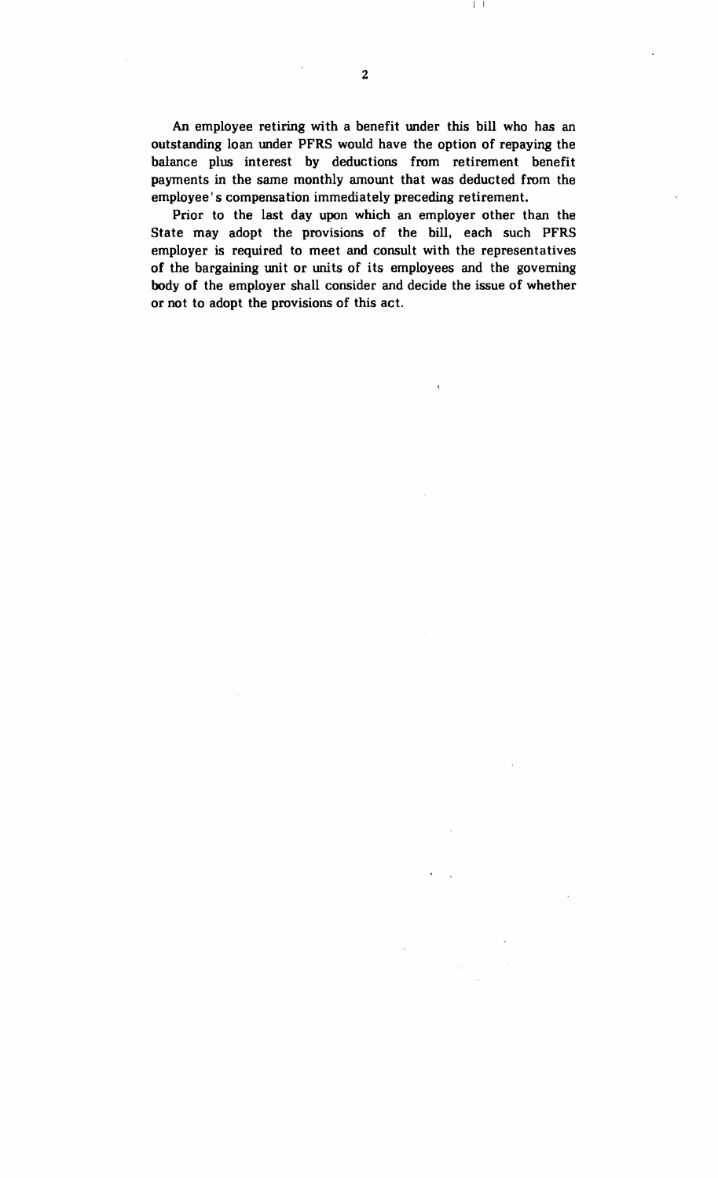An employee retiring with a benefit under this bill who has an outstanding loan under PFRS would have the option of repaying the balance plus interest by deductions from retirement benefit payments in the same monthly amount that was deducted from the employee's compensation immediately preceding retirement.

Prior to the last day upon which an employer other than the State may adopt the provisions of the bill, each such PFRS employer is required to meet and consult with the representatives of the bargaining unit or units of its employees and the governing body of the employer shall consider and decide the issue of whether or not to adopt the provisions of this act.

I I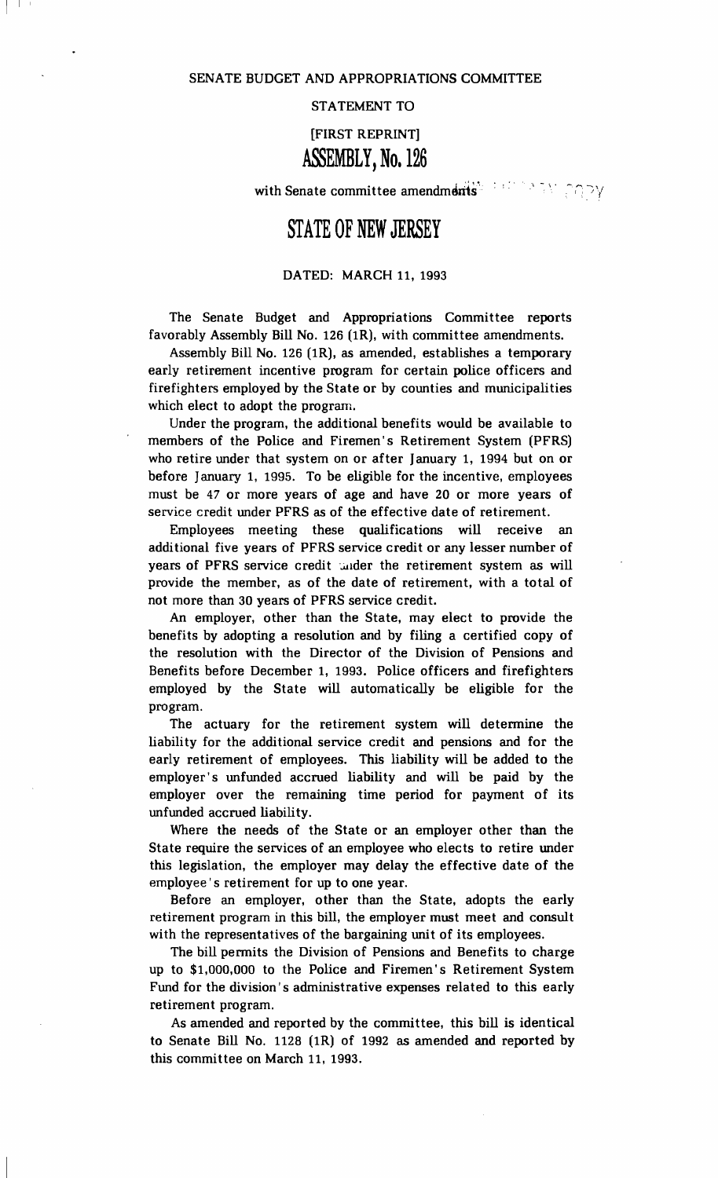I I I

STATEMENT TO

[FIRST REPRINT]

### ASSEMBLY, No. 126

with Senate committee amendments':  $\mathbb{R}^n \to \mathbb{R}^n \cap \mathbb{R}^n$ 

# **STATE OF NEW JERSEY**

#### DATED: MARCH 11, 1993

The Senate Budget and Appropriations Committee reports favorably Assembly Bill No. 126 (1R), with committee amendments.

Assembly Bill No. 126 (1R), as amended, establishes a temporary early retirement incentive program for certain police officers and firefighters employed by the State or by counties and municipalities which elect to adopt the program.

Under the program, the additional benefits would be available to members of the Police and Firemen's Retirement System (PFRS) who retire under that system on or after January 1, 1994 but on or before January 1, 1995. To be eligible for the incentive, employees must be 47 or more years of age and have 20 or more years of service credit under PFRS as of the effective date of retirement.

Employees meeting these qualifications will receive additional five years of PFRS service credit or any lesser number of years of PFRS service credit under the retirement system as will provide the member, as of the date of retirement, with a total of not more than 30 years of PFRS service credit.

An employer, other than the State, may elect to provide the benefits by adopting a resolution and by filing a certified copy of the resolution with the Director of the Division of Pensions and Benefits before December 1, 1993. Police officers and firefighters employed by the State will automatically be eligible for the program.

The actuary for the retirement system will determine the liability for the additional service credit and pensions and for the early retirement of employees. This liability will be added to the employer's unfunded accrued liability and will be paid by the employer over the remaining time period for payment of its unfunded accrued liability.

Where the needs of the State or an employer other than the State require the services of an employee who elects to retire under this legislation, the employer may delay the effective date of the employee's retirement for up to one year.

Before an employer, other than the State, adopts the early retirement program in this bill, the employer must meet and consult with the representatives of the bargaining unit of its employees.

The bill permits the Division of Pensions and Benefits to charge up to \$1,000,000 to the Police and Firemen's Retirement System Fund for the division's administrative expenses related to this early retirement program.

As amended and reported by the committee, this bill is identical to Senate Bill No. 1128 (1R) of 1992 as amended and reported by this committee on March 11, 1993.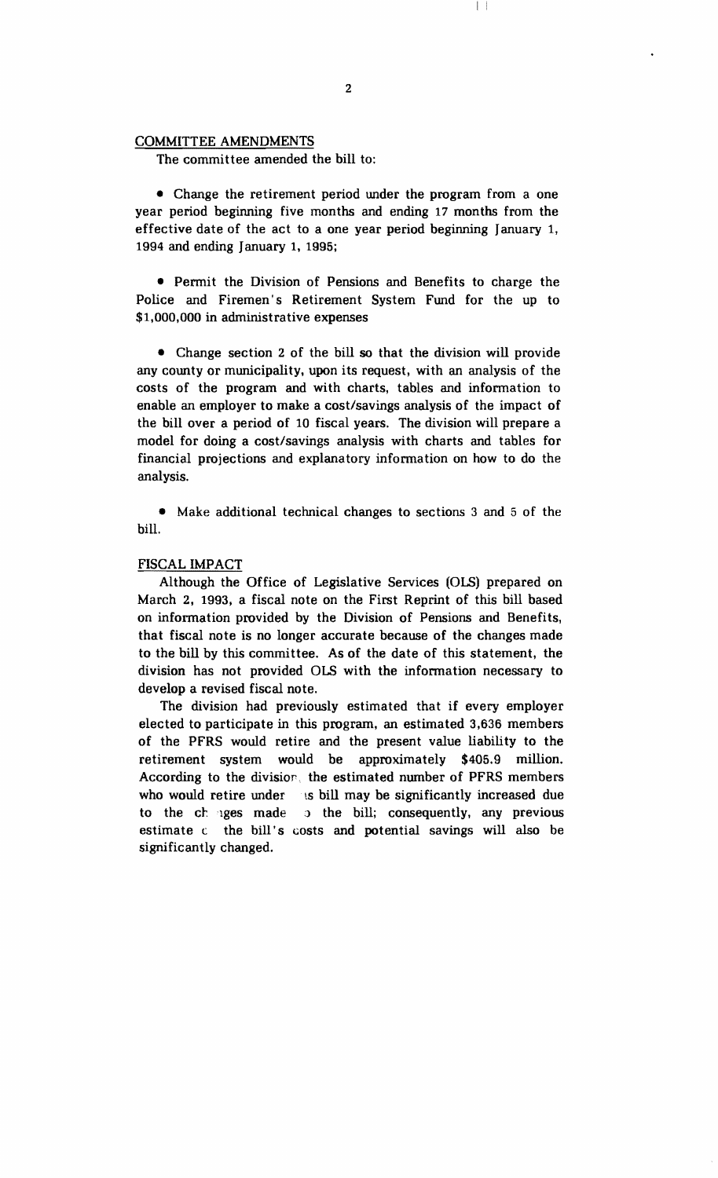#### COMMITTEE AMENDMENTS

The committee amended the bill to:

• Change the retirement period under the program from a one year period beginning five months and ending 17 months from the effective date of the act to a one year period beginning January 1, 1994 and ending January 1, 1995;

• Permit the Division of Pensions and Benefits to charge the Police and Firemen's Retirement System Fund for the up to \$1,000,000 in administrative expenses

• Change section 2 of the bill so that the division will provide any county or municipality, upon its request, with an analysis of the costs of the program and with charts, tables and information to enable an employer to make a cost/savings analysis of the impact of the bill over a period of 10 fiscal years. The division will prepare a model for doing a cost/savings analysis with charts and tables for financial projections and explanatory information on how to do the analysis.

• Make additional technical changes to sections 3 and 5 of the bill.

#### FISCAL IMPACT

Although the Office of Legislative Services (OLS) prepared on March 2, 1993, a fiscal note on the First Reprint of this bill based on infonnation provided by the Division of Pensions and Benefits, that fiscal note is no longer accurate because of the changes made to the bill by this committee. As of the date of this statement, the division has not provided OLS with the information necessary to develop a revised fiscal note.

The division had previously estimated that if every employer elected to participate in this program, an estimated 3,636 members of the PFRS would retire and the present value liability to the retirement system would be approximately \$405.9 million. According to the divisiop. the estimated number of PFRS members who would retire under ts bill may be significantly increased due to the changes made is the bill; consequently, any previous estimate c the bill's costs and potential savings will also be significantly changed.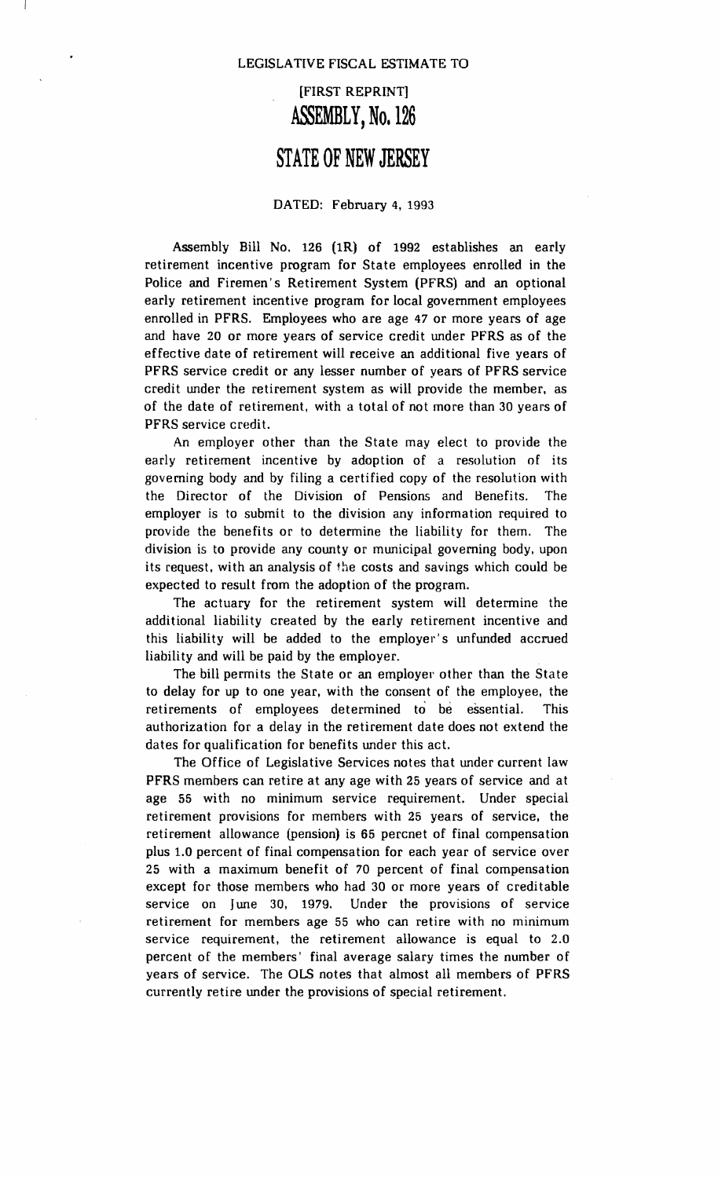## [FIRST REPRINT] ASSEMBLY, No. 126

## **STATE OF NEW JERSEY**

#### DATED: February 4, 1993

Assembly Bill No. 126 (1R) of 1992 establishes an early retirement incentive program for State employees enrolled in the Police and Firemen's Retirement System (PFRS) and an optional early retirement incentive program for local government employees enrolled in PFRS. Employees who are age 47 or more years of age and have 20 or more years of service credit under PFRS as of the effective date of retirement will receive an additional five years of PFRS service credit or any lesser number of years of PFRS service credit under the retirement system as will provide the member, as of the date of retirement, with a total of not more than 30 years of PFRS service credit.

An employer other than the State may elect to provide the early retirement incentive by adoption of a resolution of its governing body and by filing a certified copy of the resolution with the Director of the Division of Pensions and Benefits. The employer is to submit to the division any information required to provide the benefits or to determine the liability for them. The division is to provide any county or municipal governing body, upon its request, with an analysis of the costs and savings which could be expected to result from the adoption of the program.

The actuary for the retirement system will determine the additional liability created by the early retirement incentive and this liability will be added to the employer's unfunded accrued liability and will be paid by the employer.

The bill permits the State or an employer other than the State to delay for up to one year, with the consent of the employee. the retirements of employees determined to be essential. This authorization for a delay in the retirement date does not extend the dates for qualification for benefits under this act.

The Office of Legislative Services notes that under current law PFRS members can retire at any age with 25 years of service and at age 55 with no minimum service requirement. Under special retirement provisions for members with 25 years of service. the retirement allowance (pension) is 65 percnet of final compensation plus 1.0 percent of final compensation for each year of service over 25 with a maximum benefit of 70 percent of final compensation except for those members who had 30 or more years of creditable service on June 30, 1979. Under the provisions of service retirement for members age 55 who can retire with no minimum service requirement. the retirement allowance is equal to 2.0 percent of the members' final average salary times the number of years of service. The OLS notes that almost all members of PFRS currently retire under the provisions of special retirement.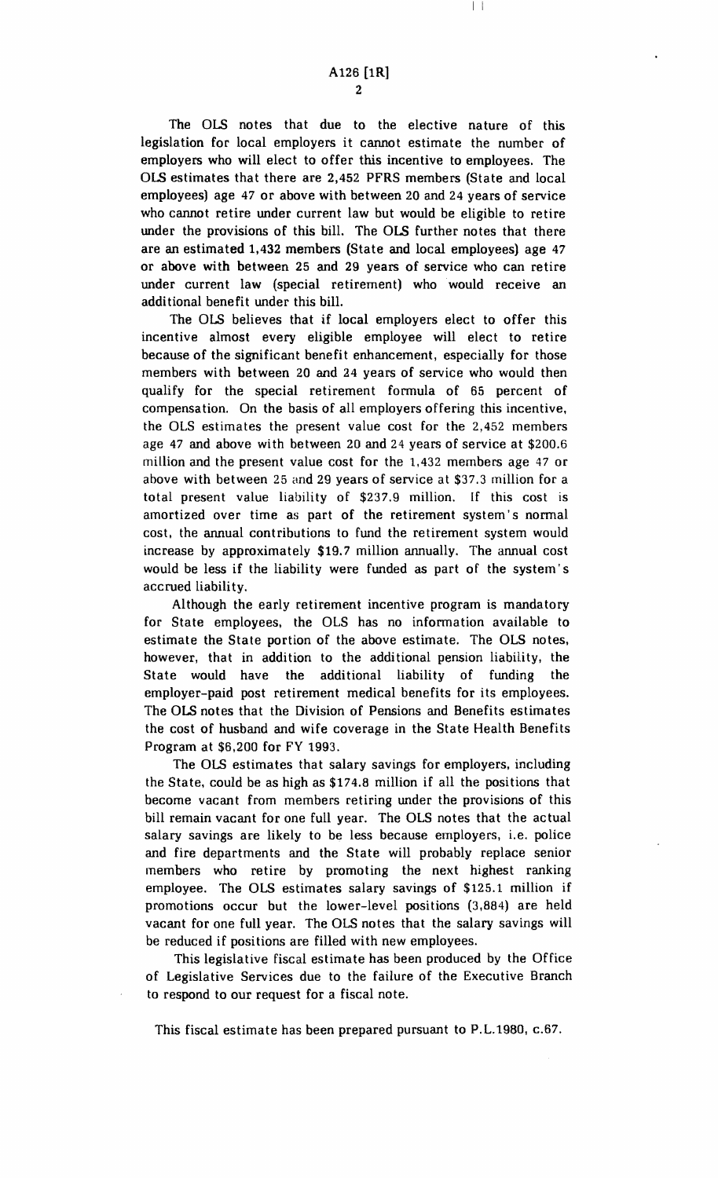I I

The OLS notes that due to the elective nature of this legislation for local employers it cannot estimate the number of employers who will elect to offer this incentive to employees. The OLS estimates that there are 2,452 PFRS members (State and local employees) age 47 or above with between 20 and 24 years of service who cannot retire under current law but would be eligible to retire under the provisions of this bill. The OLS further notes that there are an estimated 1,432 members (State and local employees) age 47 or above with between 25 and 29 years of service who can retire under current law (special retirement) who would receive an additional benefit under this bill.

The OLS believes that if local employers elect to offer this incentive almost every eligible employee will elect to retire because of the significant benefit enhancement, especially for those members with between 20 and 24 years of service who would then qualify for the special retirement formula of 65 percent of compensation. On the basis of all employers offering this incentive. the OLS estimates the present value cost for the 2,452 members age 47 and above with between 20 and 24 years of service at \$200.6 million and the present value cost for the 1.432 members age 47 or above with between 25 and 29 years of service at \$37.3 million for a total present value liability of \$237.9 million. If this cost is amortized over time as part of the retirement system's normal cost. the annual contributions to fund the retirement system would increase by approximately \$19.7 million annually. The annual cost would be less if the liability were funded as part of the system's accrued liability.

Although the early retirement incentive program is mandatory for State employees, the OLS has no information available to estimate the State portion of the above estimate. The OLS notes, however, that in addition to the additional pension liability, the State would have the additional liability of funding the employer-paid post retirement medical benefits for its employees. The OLS notes that the Division of Pensions and Benefits estimates the cost of husband and wife coverage in the State Health Benefits Program at \$6,200 for FY 1993.

The OLS estimates that salary savings for employers. including the State. could be as high as \$174.8 million if all the positions that become vacant from members retiring under the provisions of this bill remain vacant for one full year. The OLS notes that the actual salary savings are likely to be less because employers. i.e. police and fire departments and the State will probably replace senior members who retire by promoting the next highest ranking employee. The OLS estimates salary savings of \$125.1 million if promotions occur but the lower-level positions (3,884) are held vacant for one full year. The OLS notes that the salary savings will be reduced if positions are filled with new employees.

This legislative fiscal estimate has been produced by the Office of Legislative Services due to the failure of the Executive Branch to respond to our request for a fiscal note.

This fiscal estimate has been prepared pursuant to P.L.1980, c.67.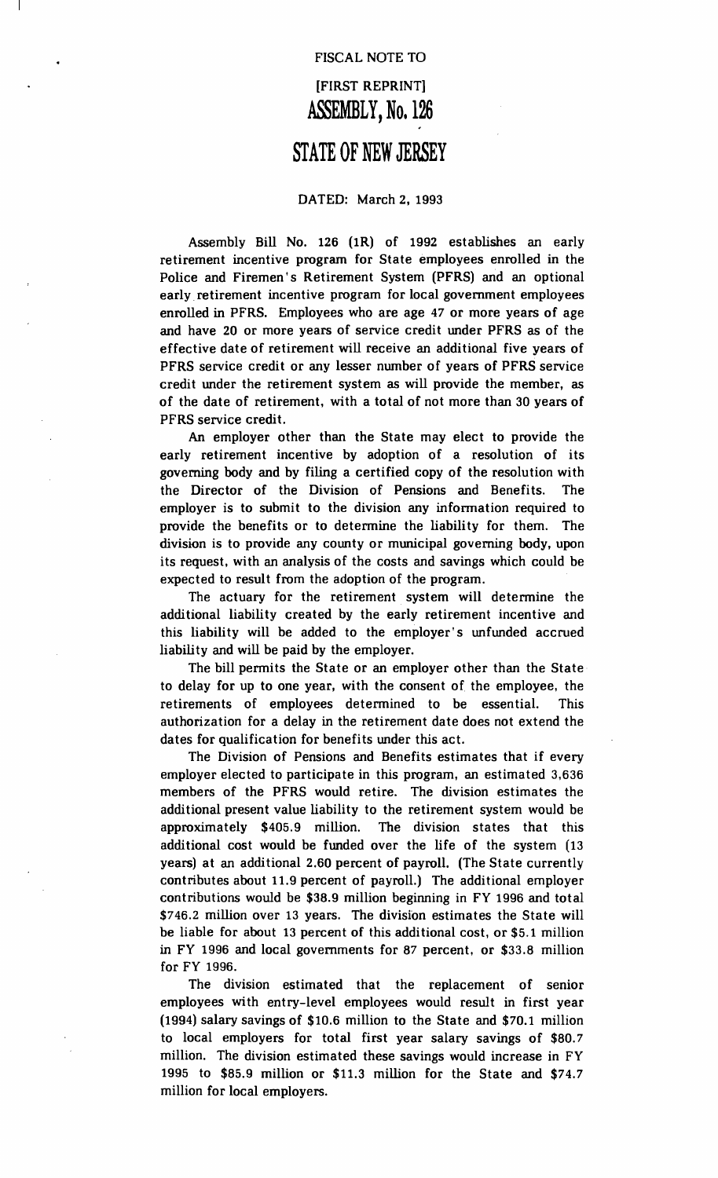# FISCAL NOTE TO [FIRST REPRINT] **ASSEMBLY, No. 126**

# **STATE OF NEW JERSEY**

#### DATED: March 2, 1993

Assembly Bill No. 126 (1R) of 1992 establishes an early retirement incentive program for State employees enrolled in the Police and Firemen's Retirement System (PFRS) and an optional early. retirement incentive program for local government employees enrolled in PFRS. Employees who are age 47 or more years of age and have 20 or more years of service credit under PFRS as of the effective date of retirement will receive an additional five years of PFRS service credit or any lesser number of years of PFRS service credit under the retirement system as will provide the member, as of the date of retirement, with a total of not more than 30 years of PFRS service credit.

An employer other than the State may elect to provide the early retirement incentive by adoption of a resolution of its governing body and by filing a certified copy of the resolution with the Director of the Division of Pensions and Benefits. The employer is to submit to the division any information required to provide the benefits or to determine the liability for them. The division is to provide any county or municipal governing body, upon its request, with an analysis of the costs and savings which could be expected to result from the adoption of the program.

The actuary for the retirement system will determine the additional liability created by the early retirement incentive and this liability will be added to the employer's unfunded accrued liability and will be paid by the employer.

The bill permits the State or an employer other than the State to delay for up to one year, with the consent of the employee, the retirements of employees determined to be essential. This authorization for a delay in the retirement date does not extend the dates for qualification for benefits under this act.

The Division of Pensions and Benefits estimates that if every employer elected to participate in this program, an estimated 3,636 members of the PFRS would retire. The division estimates the additional present value liability to the retirement system would be approximately \$405.9 million. The division states that this additional cost would be funded over the life of the system (13 years) at an additional 2.60 percent of payroll. (The State currently contributes about 11.9 percent of payroll.) The additional employer contributions would be \$38.9 million beginning in FY 1996 and total \$746.2 million over 13 years. The division estimates the State will be liable for about 13 percent of this additional cost, or \$5.1 million in FY 1996 and local governments for 87 percent, or \$33.8 million for FY 1996.

The division estimated that the replacement of senior employees with entry-level employees would result in first year (1994) salary savings of \$10.6 million to the State and \$70.1 million to local employers for total first year salary savings of \$80.7 million. The division estimated these savings would increase in FY 1995 to \$85.9 million or \$11.3 million for the State and \$74.7 million for local employers.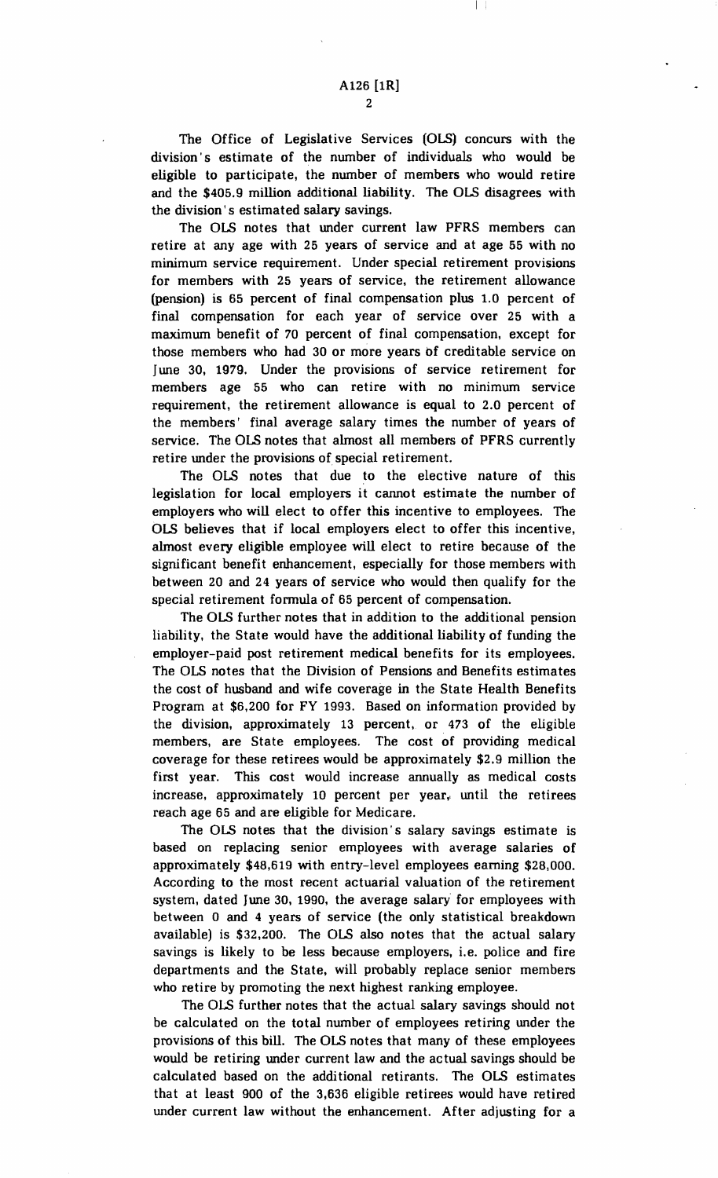The Office of Legislative Services (OLS) concurs with the division s estimate of the number of individuals who would be eligible to participate, the number of members who would retire and the \$405.9 million additional liability. The OLS disagrees with the division's estimated salary savings.

The OLS notes that under current law PFRS members can retire at any age with 25 years of service and at age 55 with no minimum service requirement. Under special retirement provisions for members with 25 years of service, the retirement allowance (pension) is 65 percent of final compensation plus 1.0 percent of final compensation for each year of service over 25 with a maximum benefit of 70 percent of final compensation, except for those members who had 30 or more years of creditable service on June 30, 1979. Under the provisions of service retirement for members age 55 who can retire with no minimum service requirement, the retirement allowance is equal to 2.0 percent of the members' final average salary times the number of years of service. The OLS notes that almost all members of PFRS currently retire under the provisions of special retirement.

The OLS notes that due to the elective nature of this legislation for local employers it cannot estimate the number of employers who will elect to offer this incentive to employees. The OLS believes that if local employers elect to offer this incentive, almost every eligible employee will elect to retire because of the significant benefit enhancement, especially for those members with between 20 and 24 years of service who would then qualify for the special retirement fonnula of 65 percent of compensation.

The OLS further notes that in addition to the additional pension liability, the State would have the additional liability of funding the employer-paid post retirement medical benefits for its employees. The OLS notes that the Division of Pensions and Benefits estimates the cost of husband and wife coverage in the State Health Benefits Program at \$6,200 for FY 1993. Based on information provided by the division, approximately 13 percent, or 473 of the eligible members, are State employees. The cost of providing medical coverage for these retirees would be approximately \$2.9 million the first year. This cost would increase annually as medical costs increase, approximately 10 percent per year, until the retirees reach age 65 and are eligible for Medicare.

The OLS notes that the division's salary savings estimate is based on replacing senior employees with average salaries of approximately \$48,619 with entry-level employees earning \$28,000. According to the most recent actuarial valuation of the retirement system, dated June 30, 1990, the average salary' for employees with between 0 and 4 years of service (the only statistical breakdown available) is \$32,200. The OLS also notes that the actual salary savings is likely to be less because employers, i.e. police and fire departments and the State, will probably replace senior members who retire by promoting the next highest ranking employee.

The OlS further notes that the actual salary savings should not be calculated on the total number of employees retiring under the provisions of this bill. The OLS notes that many of these employees would be retiring under current law and the actual savings should be calculated based on the additional retirants. The OLS estimates that at least 900 of the 3,636 eligible retirees would have retired under current law without the enhancement. After adjusting for a

 $\overline{2}$